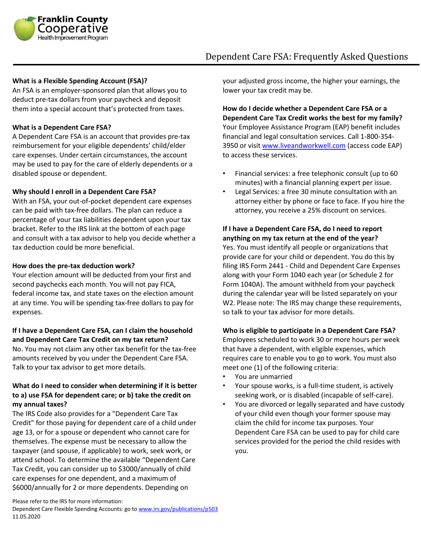

# Dependent Care FSA: Frequently Asked Questions

#### **What is a Flexible Spending Account (FSA)?**

An FSA is an employer-sponsored plan that allows you to deduct pre-tax dollars from your paycheck and deposit them into a special account that's protected from taxes.

#### **What is a Dependent Care FSA?**

A Dependent Care FSA is an account that provides pre-tax reimbursement for your eligible dependents' child/elder care expenses. Under certain circumstances, the account may be used to pay for the care of elderly dependents or a disabled spouse or dependent.

#### **Why should I enroll in a Dependent Care FSA?**

With an FSA, your out-of-pocket dependent care expenses can be paid with tax-free dollars. The plan can reduce a percentage of your tax liabilities dependent upon your tax bracket. Refer to the IRS link at the bottom of each page and consult with a tax advisor to help you decide whether a tax deduction could be more beneficial.

#### **How does the pre-tax deduction work?**

Your election amount will be deducted from your first and second paychecks each month. You will not pay FICA, federal income tax, and state taxes on the election amount at any time. You will be spending tax-free dollars to pay for expenses.

#### **If I have a Dependent Care FSA, can I claim the household and Dependent Care Tax Credit on my tax return?**

No. You may not claim any other tax benefit for the tax-free amounts received by you under the Dependent Care FSA. Talk to your tax advisor to get more details.

# **What do I need to consider when determining if it is better to a) use FSA for dependent care; or b) take the credit on my annual taxes?**

The IRS Code also provides for a "Dependent Care Tax Credit" for those paying for dependent care of a child under age 13, or for a spouse or dependent who cannot care for themselves. The expense must be necessary to allow the taxpayer (and spouse, if applicable) to work, seek work, or attend school. To determine the available "Dependent Care Tax Credit, you can consider up to \$3000/annually of child care expenses for one dependent, and a maximum of \$6000/annually for 2 or more dependents. Depending on

your adjusted gross income, the higher your earnings, the lower your tax credit may be.

**How do I decide whether a Dependent Care FSA or a Dependent Care Tax Credit works the best for my family?**  Your Employee Assistance Program (EAP) benefit includes financial and legal consultation services. Call 1-800-354- 3950 or visi[t www.liveandworkwell.com](http://www.liveandworkwell.com/) (access code EAP) to access these services.

- Financial services: a free telephonic consult (up to 60 minutes) with a financial planning expert per issue.
- Legal Services: a free 30 minute consultation with an attorney either by phone or face to face. If you hire the attorney, you receive a 25% discount on services.

# **If I have a Dependent Care FSA, do I need to report anything on my tax return at the end of the year?**

Yes. You must identify all people or organizations that provide care for your child or dependent. You do this by filing IRS Form 2441 - Child and Dependent Care Expenses along with your Form 1040 each year (or Schedule 2 for Form 1040A). The amount withheld from your paycheck during the calendar year will be listed separately on your W2. Please note: The IRS may change these requirements, so talk to your tax advisor for more details.

### **Who is eligible to participate in a Dependent Care FSA?**

Employees scheduled to work 30 or more hours per week that have a dependent, with eligible expenses, which requires care to enable you to go to work. You must also meet one (1) of the following criteria:

- You are unmarried
- Your spouse works, is a full-time student, is actively seeking work, or is disabled (incapable of self-care).
- You are divorced or legally separated and have custody of your child even though your former spouse may claim the child for income tax purposes. Your Dependent Care FSA can be used to pay for child care services provided for the period the child resides with you.

Please refer to the IRS for more information:

Dependent Care Flexible Spending Accounts: go t[o www.irs.gov/publications/p503](http://www.irs.gov/publications/p503) 11.05.2020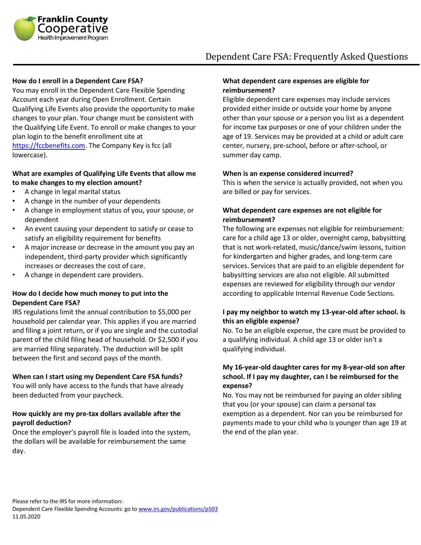

# Dependent Care FSA: Frequently Asked Questions

#### **How do I enroll in a Dependent Care FSA?**

You may enroll in the Dependent Care Flexible Spending Account each year during Open Enrollment. Certain Qualifying Life Events also provide the opportunity to make changes to your plan. Your change must be consistent with the Qualifying Life Event. To enroll or make changes to your plan login to the benefit enrollment site at [https://fccbenefits.com.](https://fccbenefits.com/) The Company Key is fcc (all lowercase).

### **What are examples of Qualifying Life Events that allow me to make changes to my election amount?**

- A change in legal marital status
- A change in the number of your dependents
- A change in employment status of you, your spouse, or dependent
- An event causing your dependent to satisfy or cease to satisfy an eligibility requirement for benefits
- A major increase or decrease in the amount you pay an independent, third-party provider which significantly increases or decreases the cost of care.
- A change in dependent care providers.

### **How do I decide how much money to put into the Dependent Care FSA?**

IRS regulations limit the annual contribution to \$5,000 per household per calendar year. This applies if you are married and filing a joint return, or if you are single and the custodial parent of the child filing head of household. Or \$2,500 if you are married filing separately. The deduction will be split between the first and second pays of the month.

#### **When can I start using my Dependent Care FSA funds?**

You will only have access to the funds that have already been deducted from your paycheck.

#### **How quickly are my pre-tax dollars available after the payroll deduction?**

Once the employer's payroll file is loaded into the system, the dollars will be available for reimbursement the same day.

#### **What dependent care expenses are eligible for reimbursement?**

Eligible dependent care expenses may include services provided either inside or outside your home by anyone other than your spouse or a person you list as a dependent for income tax purposes or one of your children under the age of 19. Services may be provided at a child or adult care center, nursery, pre-school, before or after-school, or summer day camp.

#### **When is an expense considered incurred?**

This is when the service is actually provided, not when you are billed or pay for services.

# **What dependent care expenses are not eligible for reimbursement?**

The following are expenses not eligible for reimbursement: care for a child age 13 or older, overnight camp, babysitting that is not work-related, music/dance/swim lessons, tuition for kindergarten and higher grades, and long-term care services. Services that are paid to an eligible dependent for babysitting services are also not eligible. All submitted expenses are reviewed for eligibility through our vendor according to applicable Internal Revenue Code Sections.

# **I pay my neighbor to watch my 13-year-old after school. Is this an eligible expense?**

No. To be an eligible expense, the care must be provided to a qualifying individual. A child age 13 or older isn't a qualifying individual.

## **My 16-year-old daughter cares for my 8-year-old son after school. If I pay my daughter, can I be reimbursed for the expense?**

No. You may not be reimbursed for paying an older sibling that you (or your spouse) can claim a personal tax exemption as a dependent. Nor can you be reimbursed for payments made to your child who is younger than age 19 at the end of the plan year.